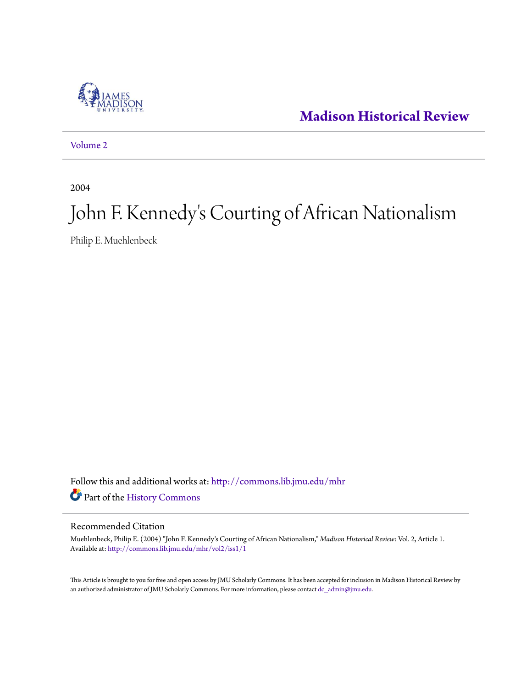

**[Madison Historical Review](http://commons.lib.jmu.edu/mhr?utm_source=commons.lib.jmu.edu%2Fmhr%2Fvol2%2Fiss1%2F1&utm_medium=PDF&utm_campaign=PDFCoverPages)**

[Volume 2](http://commons.lib.jmu.edu/mhr/vol2?utm_source=commons.lib.jmu.edu%2Fmhr%2Fvol2%2Fiss1%2F1&utm_medium=PDF&utm_campaign=PDFCoverPages)

2004

# John F. Kennedy 's Courting of African Nationalism

Philip E. Muehlenbeck

Follow this and additional works at: [http://commons.lib.jmu.edu/mhr](http://commons.lib.jmu.edu/mhr?utm_source=commons.lib.jmu.edu%2Fmhr%2Fvol2%2Fiss1%2F1&utm_medium=PDF&utm_campaign=PDFCoverPages) Part of the [History Commons](http://network.bepress.com/hgg/discipline/489?utm_source=commons.lib.jmu.edu%2Fmhr%2Fvol2%2Fiss1%2F1&utm_medium=PDF&utm_campaign=PDFCoverPages)

## Recommended Citation

Muehlenbeck, Philip E. (2004) "John F. Kennedy's Courting of African Nationalism," *Madison Historical Review*: Vol. 2, Article 1. Available at: [http://commons.lib.jmu.edu/mhr/vol2/iss1/1](http://commons.lib.jmu.edu/mhr/vol2/iss1/1?utm_source=commons.lib.jmu.edu%2Fmhr%2Fvol2%2Fiss1%2F1&utm_medium=PDF&utm_campaign=PDFCoverPages)

This Article is brought to you for free and open access by JMU Scholarly Commons. It has been accepted for inclusion in Madison Historical Review by an authorized administrator of JMU Scholarly Commons. For more information, please contact [dc\\_admin@jmu.edu.](mailto:dc_admin@jmu.edu)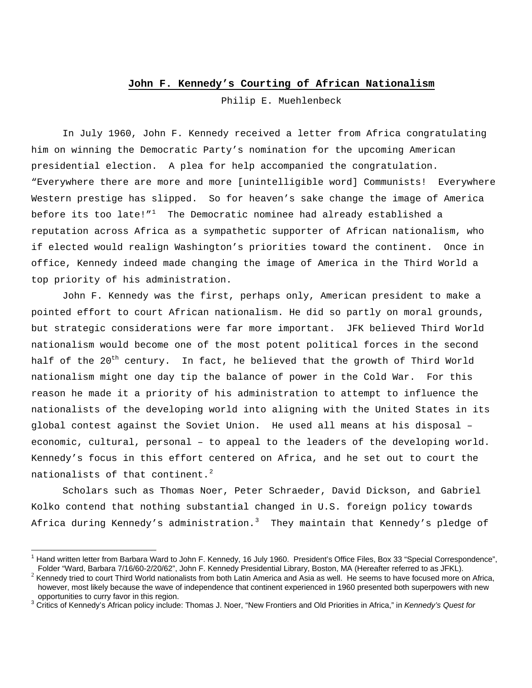## **John F. Kennedy's Courting of African Nationalism**

Philip E. Muehlenbeck

In July 1960, John F. Kennedy received a letter from Africa congratulating him on winning the Democratic Party's nomination for the upcoming American presidential election. A plea for help accompanied the congratulation. "Everywhere there are more and more [unintelligible word] Communists! Everywhere Western prestige has slipped. So for heaven's sake change the image of America before its too late!" $1$  The Democratic nominee had already established a reputation across Africa as a sympathetic supporter of African nationalism, who if elected would realign Washington's priorities toward the continent. Once in office, Kennedy indeed made changing the image of America in the Third World a top priority of his administration.

John F. Kennedy was the first, perhaps only, American president to make a pointed effort to court African nationalism. He did so partly on moral grounds, but strategic considerations were far more important. JFK believed Third World nationalism would become one of the most potent political forces in the second half of the 20<sup>th</sup> century. In fact, he believed that the growth of Third World nationalism might one day tip the balance of power in the Cold War. For this reason he made it a priority of his administration to attempt to influence the nationalists of the developing world into aligning with the United States in its global contest against the Soviet Union. He used all means at his disposal – economic, cultural, personal – to appeal to the leaders of the developing world. Kennedy's focus in this effort centered on Africa, and he set out to court the nationalists of that continent.<sup>[2](#page-1-1)</sup>

Scholars such as Thomas Noer, Peter Schraeder, David Dickson, and Gabriel Kolko contend that nothing substantial changed in U.S. foreign policy towards Africa during Kennedy's administration.<sup>[3](#page-1-2)</sup> They maintain that Kennedy's pledge of

<span id="page-1-0"></span><sup>&</sup>lt;sup>1</sup> Hand written letter from Barbara Ward to John F. Kennedy, 16 July 1960. President's Office Files, Box 33 "Special Correspondence", Folder "Ward, Barbara 7/16/60-2/20/62", John F. Kennedy Presidential Library, Boston, MA (Hereafter referred to as JFKL).<br><sup>2</sup> Kennedy tried to court Third World nationalists from both Latin America and Asia as well. He see

<span id="page-1-1"></span>however, most likely because the wave of independence that continent experienced in 1960 presented both superpowers with new opportunities to curry favor in this region.

<span id="page-1-2"></span><sup>3</sup> Critics of Kennedy's African policy include: Thomas J. Noer, "New Frontiers and Old Priorities in Africa," in *Kennedy's Quest for*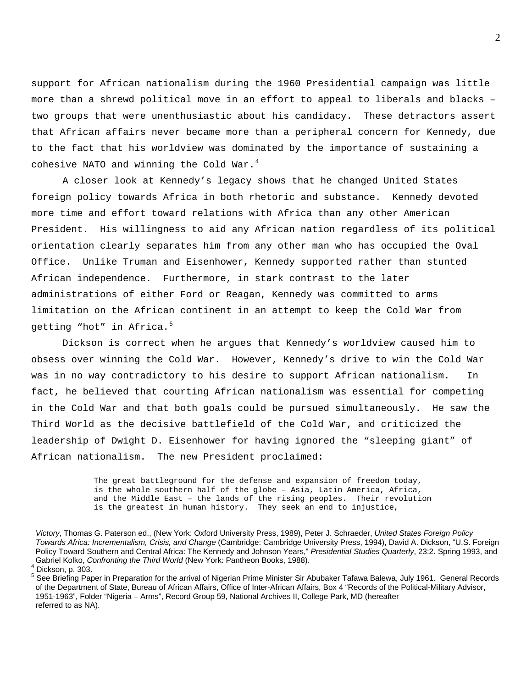support for African nationalism during the 1960 Presidential campaign was little more than a shrewd political move in an effort to appeal to liberals and blacks – two groups that were unenthusiastic about his candidacy. These detractors assert that African affairs never became more than a peripheral concern for Kennedy, due to the fact that his worldview was dominated by the importance of sustaining a cohesive NATO and winning the Cold War. $4$ 

A closer look at Kennedy's legacy shows that he changed United States foreign policy towards Africa in both rhetoric and substance. Kennedy devoted more time and effort toward relations with Africa than any other American President. His willingness to aid any African nation regardless of its political orientation clearly separates him from any other man who has occupied the Oval Office. Unlike Truman and Eisenhower, Kennedy supported rather than stunted African independence. Furthermore, in stark contrast to the later administrations of either Ford or Reagan, Kennedy was committed to arms limitation on the African continent in an attempt to keep the Cold War from getting "hot" in Africa.<sup>[5](#page-2-1)</sup>

Dickson is correct when he argues that Kennedy's worldview caused him to obsess over winning the Cold War. However, Kennedy's drive to win the Cold War was in no way contradictory to his desire to support African nationalism. In fact, he believed that courting African nationalism was essential for competing in the Cold War and that both goals could be pursued simultaneously. He saw the Third World as the decisive battlefield of the Cold War, and criticized the leadership of Dwight D. Eisenhower for having ignored the "sleeping giant" of African nationalism. The new President proclaimed:

> The great battleground for the defense and expansion of freedom today, is the whole southern half of the globe – Asia, Latin America, Africa, and the Middle East – the lands of the rising peoples. Their revolution is the greatest in human history. They seek an end to injustice,

*Victory*, Thomas G. Paterson ed., (New York: Oxford University Press, 1989), Peter J. Schraeder, *United States Foreign Policy Towards Africa: Incrementalism, Crisis, and Change* (Cambridge: Cambridge University Press, 1994), David A. Dickson, "U.S. Foreign Policy Toward Southern and Central Africa: The Kennedy and Johnson Years," *Presidential Studies Quarterly*, 23:2. Spring 1993, and Gabriel Kolko, *Confronting the Third World* (New York: Pantheon Books, 1988). <sup>4</sup>

<span id="page-2-0"></span> $4$  Dickson, p. 303.

<span id="page-2-1"></span><sup>&</sup>lt;sup>5</sup> See Briefing Paper in Preparation for the arrival of Nigerian Prime Minister Sir Abubaker Tafawa Balewa, July 1961. General Records of the Department of State, Bureau of African Affairs, Office of Inter-African Affairs, Box 4 "Records of the Political-Military Advisor, 1951-1963", Folder "Nigeria – Arms", Record Group 59, National Archives II, College Park, MD (hereafter referred to as NA).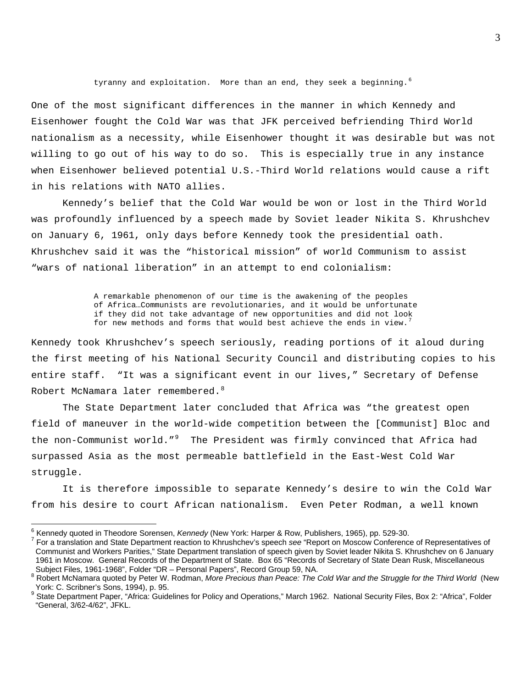tyranny and exploitation. More than an end, they seek a beginning.<sup>[6](#page-3-0)</sup>

One of the most significant differences in the manner in which Kennedy and Eisenhower fought the Cold War was that JFK perceived befriending Third World nationalism as a necessity, while Eisenhower thought it was desirable but was not willing to go out of his way to do so. This is especially true in any instance when Eisenhower believed potential U.S.-Third World relations would cause a rift in his relations with NATO allies.

Kennedy's belief that the Cold War would be won or lost in the Third World was profoundly influenced by a speech made by Soviet leader Nikita S. Khrushchev on January 6, 1961, only days before Kennedy took the presidential oath. Khrushchev said it was the "historical mission" of world Communism to assist "wars of national liberation" in an attempt to end colonialism:

> A remarkable phenomenon of our time is the awakening of the peoples of Africa…Communists are revolutionaries, and it would be unfortunate if they did not take advantage of new opportunities and did not loo[k](#page-3-1)  for new methods and forms that would best achieve the ends in view.

Kennedy took Khrushchev's speech seriously, reading portions of it aloud during the first meeting of his National Security Council and distributing copies to his entire staff. "It was a significant event in our lives," Secretary of Defense Robert McNamara later remembered.<sup>[8](#page-3-2)</sup>

The State Department later concluded that Africa was "the greatest open field of maneuver in the world-wide competition between the [Communist] Bloc and the non-Communist world."<sup>[9](#page-3-3)</sup> The President was firmly convinced that Africa had surpassed Asia as the most permeable battlefield in the East-West Cold War struggle.

It is therefore impossible to separate Kennedy's desire to win the Cold War from his desire to court African nationalism. Even Peter Rodman, a well known

<span id="page-3-0"></span><sup>&</sup>lt;sup>6</sup> Kennedy quoted in Theodore Sorensen, *Kennedy* (New York: Harper & Row, Publishers, 1965), pp. 529-30.<br><sup>7</sup> Eer e translation and State Department reaction to Khrushebov's apocablese "Bapert en Messow Conferenc

<span id="page-3-1"></span>For a translation and State Department reaction to Khrushchev's speech *see* "Report on Moscow Conference of Representatives of Communist and Workers Parities," State Department translation of speech given by Soviet leader Nikita S. Khrushchev on 6 January 1961 in Moscow. General Records of the Department of State. Box 65 "Records of Secretary of State Dean Rusk, Miscellaneous Subject Files, 1961-1968", Folder "DR – Personal Papers", Record Group 59, NA.

<span id="page-3-2"></span><sup>&</sup>lt;sup>8</sup> Robert McNamara quoted by Peter W. Rodman, More Precious than Peace: The Cold War and the Struggle for the Third World (New York: C. Scribner's Sons, 1994), p. 95.

<span id="page-3-3"></span><sup>&</sup>lt;sup>9</sup> State Department Paper, "Africa: Guidelines for Policy and Operations," March 1962. National Security Files, Box 2: "Africa", Folder "General, 3/62-4/62", JFKL.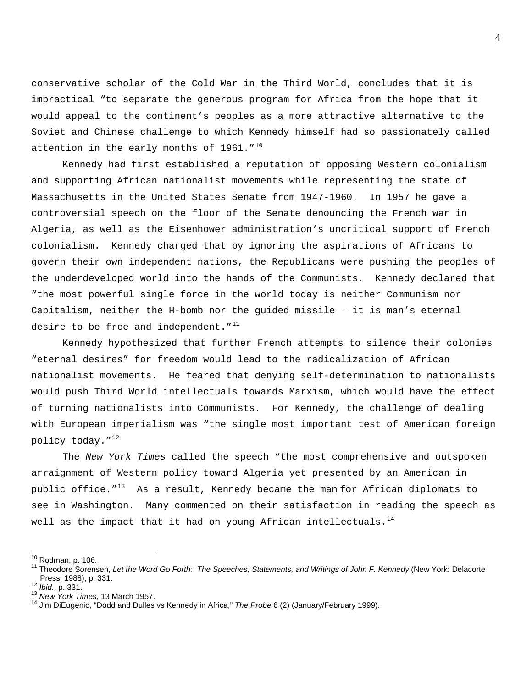conservative scholar of the Cold War in the Third World, concludes that it is impractical "to separate the generous program for Africa from the hope that it would appeal to the continent's peoples as a more attractive alternative to the Soviet and Chinese challenge to which Kennedy himself had so passionately called attention in the early months of 1961."<sup>[10](#page-4-0)</sup>

Kennedy had first established a reputation of opposing Western colonialism and supporting African nationalist movements while representing the state of Massachusetts in the United States Senate from 1947-1960. In 1957 he gave a controversial speech on the floor of the Senate denouncing the French war in Algeria, as well as the Eisenhower administration's uncritical support of French colonialism. Kennedy charged that by ignoring the aspirations of Africans to govern their own independent nations, the Republicans were pushing the peoples of the underdeveloped world into the hands of the Communists. Kennedy declared that "the most powerful single force in the world today is neither Communism nor Capitalism, neither the H-bomb nor the guided missile – it is man's eternal desire to be free and independent.  $''^{11}$  $''^{11}$  $''^{11}$ 

Kennedy hypothesized that further French attempts to silence their colonies "eternal desires" for freedom would lead to the radicalization of African nationalist movements. He feared that denying self-determination to nationalists would push Third World intellectuals towards Marxism, which would have the effect of turning nationalists into Communists. For Kennedy, the challenge of dealing with European imperialism was "the single most important test of American foreign policy today."[12](#page-4-2)

The *New York Times* called the speech "the most comprehensive and outspoken arraignment of Western policy toward Algeria yet presented by an American in public office. $13$  As a result, Kennedy became the man for African diplomats to see in Washington. Many commented on their satisfaction in reading the speech as well as the impact that it had on young African intellectuals. $^{\rm 14}$  $^{\rm 14}$  $^{\rm 14}$ 

<span id="page-4-0"></span> $10$  Rodman, p. 106.

<span id="page-4-1"></span><sup>&</sup>lt;sup>11</sup> Theodore Sorensen, Let the Word Go Forth: The Speeches, Statements, and Writings of John F. Kennedy (New York: Delacorte Press, 1988), p. 331.<br><sup>12</sup> *Ibid.*, p. 331.

<span id="page-4-2"></span>

<span id="page-4-4"></span>

<span id="page-4-3"></span><sup>&</sup>lt;sup>13</sup> *New York Times*, 13 March 1957.<br><sup>14</sup> Jim DiEugenio, "Dodd and Dulles vs Kennedy in Africa," *The Probe* 6 (2) (January/February 1999).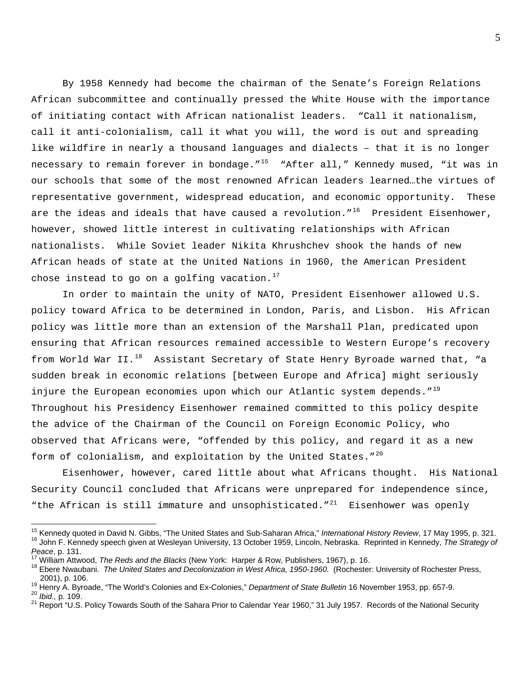By 1958 Kennedy had become the chairman of the Senate's Foreign Relations African subcommittee and continually pressed the White House with the importance of initiating contact with African nationalist leaders. "Call it nationalism, call it anti-colonialism, call it what you will, the word is out and spreading like wildfire in nearly a thousand languages and dialects – that it is no longer necessary to remain forever in bondage."<sup>[15](#page-5-0)</sup> "After all," Kennedy mused, "it was in our schools that some of the most renowned African leaders learned…the virtues of representative government, widespread education, and economic opportunity. These are the ideas and ideals that have caused a revolution."<sup>[16](#page-5-1)</sup> President Eisenhower, however, showed little interest in cultivating relationships with African nationalists. While Soviet leader Nikita Khrushchev shook the hands of new African heads of state at the United Nations in 1960, the American President chose instead to go on a golfing vacation.<sup>[17](#page-5-2)</sup>

In order to maintain the unity of NATO, President Eisenhower allowed U.S. policy toward Africa to be determined in London, Paris, and Lisbon. His African policy was little more than an extension of the Marshall Plan, predicated upon ensuring that African resources remained accessible to Western Europe's recovery from World War II. $^{18}$  $^{18}$  $^{18}$  Assistant Secretary of State Henry Byroade warned that, "a sudden break in economic relations [between Europe and Africa] might seriously injure the European economies upon which our Atlantic system depends."<sup>[19](#page-5-4)</sup> Throughout his Presidency Eisenhower remained committed to this policy despite the advice of the Chairman of the Council on Foreign Economic Policy, who observed that Africans were, "offended by this policy, and regard it as a new form of colonialism, and exploitation by the United States. $1^{20}$  $1^{20}$  $1^{20}$ 

Eisenhower, however, cared little about what Africans thought. His National Security Council concluded that Africans were unprepared for independence since, "the African is still immature and unsophisticated." $^{21}$  $^{21}$  $^{21}$  Eisenhower was openly

<span id="page-5-1"></span><span id="page-5-0"></span><sup>&</sup>lt;sup>15</sup> Kennedy quoted in David N. Gibbs, "The United States and Sub-Saharan Africa," International History Review, 17 May 1995, p. 321.<br><sup>16</sup> John F. Kennedy speech given at Wesleyan University, 13 October 1959, Lincoln, Nebr

<span id="page-5-3"></span>

<span id="page-5-2"></span><sup>&</sup>lt;sup>17</sup> William Attwood, *The Reds and the Blacks* (New York: Harper & Row, Publishers, 1967), p. 16.<br><sup>18</sup> Ebere Nwaubani. *The United States and Decolonization in West Africa, 1950-1960.* (Rochester: University of Rochester 2001), p. 106.

<span id="page-5-4"></span><sup>&</sup>lt;sup>19</sup> Henry A. Byroade, "The World's Colonies and Ex-Colonies," Department of State Bulletin 16 November 1953, pp. 657-9.<br><sup>20</sup> Ibid., p. 109.<br><sup>21</sup> Report "U.S. Policy Towards South of the Sahara Prior to Calendar Year 1960,

<span id="page-5-5"></span>

<span id="page-5-6"></span>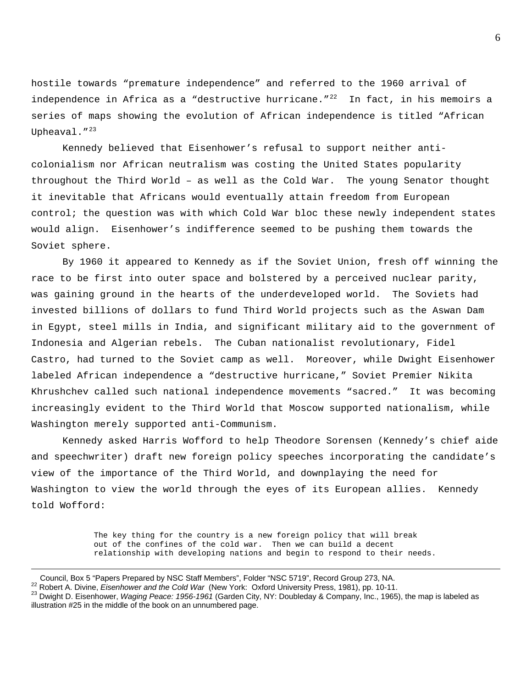hostile towards "premature independence" and referred to the 1960 arrival of independence in Africa as a "destructive hurricane." $^{22}$  $^{22}$  $^{22}$  In fact, in his memoirs a series of maps showing the evolution of African independence is titled "African Upheaval."<sup>[23](#page-6-1)</sup>

Kennedy believed that Eisenhower's refusal to support neither anticolonialism nor African neutralism was costing the United States popularity throughout the Third World – as well as the Cold War. The young Senator thought it inevitable that Africans would eventually attain freedom from European control; the question was with which Cold War bloc these newly independent states would align. Eisenhower's indifference seemed to be pushing them towards the Soviet sphere.

By 1960 it appeared to Kennedy as if the Soviet Union, fresh off winning the race to be first into outer space and bolstered by a perceived nuclear parity, was gaining ground in the hearts of the underdeveloped world. The Soviets had invested billions of dollars to fund Third World projects such as the Aswan Dam in Egypt, steel mills in India, and significant military aid to the government of Indonesia and Algerian rebels. The Cuban nationalist revolutionary, Fidel Castro, had turned to the Soviet camp as well. Moreover, while Dwight Eisenhower labeled African independence a "destructive hurricane," Soviet Premier Nikita Khrushchev called such national independence movements "sacred." It was becoming increasingly evident to the Third World that Moscow supported nationalism, while Washington merely supported anti-Communism.

Kennedy asked Harris Wofford to help Theodore Sorensen (Kennedy's chief aide and speechwriter) draft new foreign policy speeches incorporating the candidate's view of the importance of the Third World, and downplaying the need for Washington to view the world through the eyes of its European allies. Kennedy told Wofford:

> The key thing for the country is a new foreign policy that will break out of the confines of the cold war. Then we can build a decent relationship with developing nations and begin to respond to their needs.

 $\overline{a}$ 

<span id="page-6-1"></span><span id="page-6-0"></span>

Council, Box 5 "Papers Prepared by NSC Staff Members", Folder "NSC 5719", Record Group 273, NA.<br><sup>22</sup> Robert A. Divine, *Eisenhower and the Cold War* (New York: Oxford University Press, 1981), pp. 10-11.<br><sup>23</sup> Dwight D. Eise illustration #25 in the middle of the book on an unnumbered page.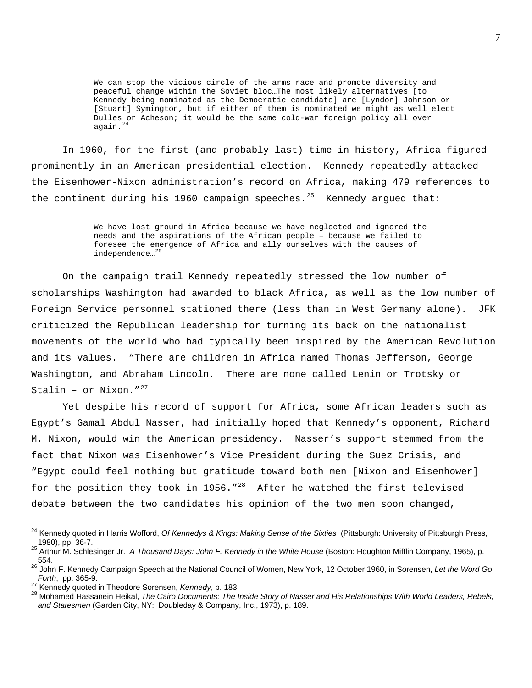We can stop the vicious circle of the arms race and promote diversity and peaceful change within the Soviet bloc…The most likely alternatives [to Kennedy being nominated as the Democratic candidate] are [Lyndon] Johnson or [Stuart] Symington, but if either of them is nominated we might as well elect Dulles or Acheson; it would be the same cold-war foreign policy all over again.<sup>[24](#page-7-0)</sup>

In 1960, for the first (and probably last) time in history, Africa figured prominently in an American presidential election. Kennedy repeatedly attacked the Eisenhower-Nixon administration's record on Africa, making 479 references to the continent during his 1960 campaign speeches.<sup>[25](#page-7-1)</sup> Kennedy argued that:

> We have lost ground in Africa because we have neglected and ignored the needs and the aspirations of the African people – because we failed to foresee the emergence of Africa and ally ourselves with the causes of independence…[26](#page-7-2)

 On the campaign trail Kennedy repeatedly stressed the low number of scholarships Washington had awarded to black Africa, as well as the low number of Foreign Service personnel stationed there (less than in West Germany alone). JFK criticized the Republican leadership for turning its back on the nationalist movements of the world who had typically been inspired by the American Revolution and its values. "There are children in Africa named Thomas Jefferson, George Washington, and Abraham Lincoln. There are none called Lenin or Trotsky or Stalin – or Nixon." $^{27}$  $^{27}$  $^{27}$ 

Yet despite his record of support for Africa, some African leaders such as Egypt's Gamal Abdul Nasser, had initially hoped that Kennedy's opponent, Richard M. Nixon, would win the American presidency. Nasser's support stemmed from the fact that Nixon was Eisenhower's Vice President during the Suez Crisis, and "Egypt could feel nothing but gratitude toward both men [Nixon and Eisenhower] for the position they took in 1956."<sup>[28](#page-7-4)</sup> After he watched the first televised debate between the two candidates his opinion of the two men soon changed,

<span id="page-7-0"></span><sup>&</sup>lt;sup>24</sup> Kennedy quoted in Harris Wofford, *Of Kennedys & Kings: Making Sense of the Sixties* (Pittsburgh: University of Pittsburgh Press, 1980), pp. 36-7.

<span id="page-7-1"></span><sup>25</sup> Arthur M. Schlesinger Jr. *A Thousand Days: John F. Kennedy in the White House* (Boston: Houghton Mifflin Company, 1965), p. 554.

<span id="page-7-2"></span><sup>26</sup> John F. Kennedy Campaign Speech at the National Council of Women, New York, 12 October 1960, in Sorensen, *Let the Word Go Forth*, pp. 365-9.<br><sup>27</sup> Kennedy quoted in Theodore Sorensen, *Kennedy*, p. 183.<br><sup>28</sup> Mohamed Hassanein Heikal, *The Cairo Documents: The Inside Story of Nasser and His Relationships With World Leaders, Rebels,* 

<span id="page-7-4"></span><span id="page-7-3"></span>

*and Statesmen* (Garden City, NY: Doubleday & Company, Inc., 1973), p. 189.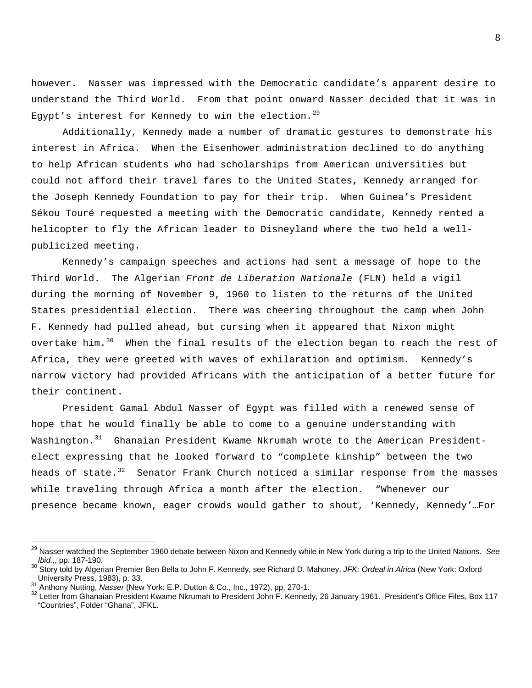however. Nasser was impressed with the Democratic candidate's apparent desire to understand the Third World. From that point onward Nasser decided that it was in Egypt's interest for Kennedy to win the election.<sup>[29](#page-8-0)</sup>

Additionally, Kennedy made a number of dramatic gestures to demonstrate his interest in Africa. When the Eisenhower administration declined to do anything to help African students who had scholarships from American universities but could not afford their travel fares to the United States, Kennedy arranged for the Joseph Kennedy Foundation to pay for their trip. When Guinea's President Sékou Touré requested a meeting with the Democratic candidate, Kennedy rented a helicopter to fly the African leader to Disneyland where the two held a wellpublicized meeting.

 Kennedy's campaign speeches and actions had sent a message of hope to the Third World. The Algerian *Front de Liberation Nationale* (FLN) held a vigil during the morning of November 9, 1960 to listen to the returns of the United States presidential election. There was cheering throughout the camp when John F. Kennedy had pulled ahead, but cursing when it appeared that Nixon might overtake him.<sup>[30](#page-8-1)</sup> When the final results of the election began to reach the rest of Africa, they were greeted with waves of exhilaration and optimism. Kennedy's narrow victory had provided Africans with the anticipation of a better future for their continent.

 President Gamal Abdul Nasser of Egypt was filled with a renewed sense of hope that he would finally be able to come to a genuine understanding with Washington.<sup>[31](#page-8-2)</sup> Ghanaian President Kwame Nkrumah wrote to the American Presidentelect expressing that he looked forward to "complete kinship" between the two heads of state.<sup>[32](#page-8-3)</sup> Senator Frank Church noticed a similar response from the masses while traveling through Africa a month after the election. "Whenever our presence became known, eager crowds would gather to shout, 'Kennedy, Kennedy'…For

 $\overline{a}$ 

<span id="page-8-0"></span><sup>29</sup> Nasser watched the September 1960 debate between Nixon and Kennedy while in New York during a trip to the United Nations. *See Ibid.,*, pp. 187-190.<br><sup>30</sup> Story told by Algerian Premier Ben Bella to John F. Kennedy, see Richard D. Mahoney, *JFK: Ordeal in Africa* (New York: Oxford

<span id="page-8-1"></span>University Press, 1983), p. 33.<br>Anthony Nutting, Nasser (New York: E.P. Dutton & Co., Inc., 1972), pp. 270-1.

<span id="page-8-2"></span>

<span id="page-8-3"></span><sup>&</sup>lt;sup>32</sup> Letter from Ghanaian President Kwame Nkrumah to President John F. Kennedy, 26 January 1961. President's Office Files, Box 117 "Countries", Folder "Ghana", JFKL.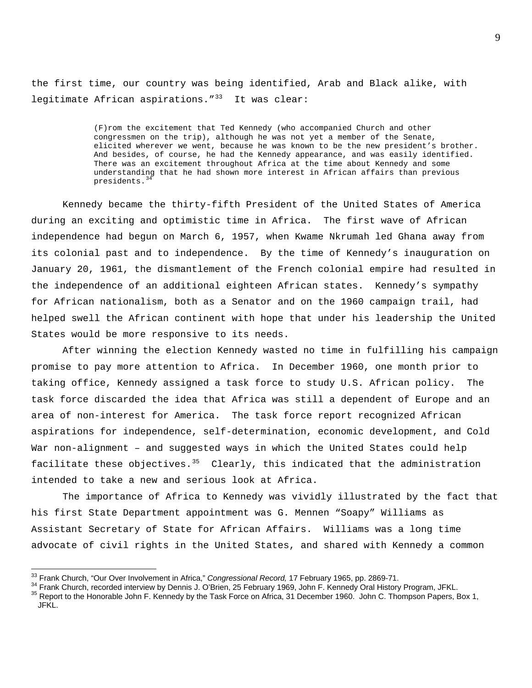the first time, our country was being identified, Arab and Black alike, with legitimate African aspirations.  $1^{33}$  $1^{33}$  $1^{33}$  It was clear:

> (F)rom the excitement that Ted Kennedy (who accompanied Church and other congressmen on the trip), although he was not yet a member of the Senate, elicited wherever we went, because he was known to be the new president's brother. And besides, of course, he had the Kennedy appearance, and was easily identified. There was an excitement throughout Africa at the time about Kennedy and some understanding that he had shown more interest in African affairs than previous presidents.<sup>[34](#page-9-1)</sup>

Kennedy became the thirty-fifth President of the United States of America during an exciting and optimistic time in Africa. The first wave of African independence had begun on March 6, 1957, when Kwame Nkrumah led Ghana away from its colonial past and to independence. By the time of Kennedy's inauguration on January 20, 1961, the dismantlement of the French colonial empire had resulted in the independence of an additional eighteen African states. Kennedy's sympathy for African nationalism, both as a Senator and on the 1960 campaign trail, had helped swell the African continent with hope that under his leadership the United States would be more responsive to its needs.

After winning the election Kennedy wasted no time in fulfilling his campaign promise to pay more attention to Africa. In December 1960, one month prior to taking office, Kennedy assigned a task force to study U.S. African policy. The task force discarded the idea that Africa was still a dependent of Europe and an area of non-interest for America. The task force report recognized African aspirations for independence, self-determination, economic development, and Cold War non-alignment – and suggested ways in which the United States could help facilitate these objectives.<sup>[35](#page-9-2)</sup> Clearly, this indicated that the administration intended to take a new and serious look at Africa.

 The importance of Africa to Kennedy was vividly illustrated by the fact that his first State Department appointment was G. Mennen "Soapy" Williams as Assistant Secretary of State for African Affairs. Williams was a long time advocate of civil rights in the United States, and shared with Kennedy a common

<span id="page-9-0"></span><sup>&</sup>lt;sup>33</sup> Frank Church, "Our Over Involvement in Africa," Congressional Record, 17 February 1965, pp. 2869-71.

<span id="page-9-1"></span><sup>&</sup>lt;sup>34</sup> Frank Church, recorded interview by Dennis J. O'Brien, 25 February 1969, John F. Kennedy Oral History Program, JFKL.<br><sup>35</sup> Report to the Honorable John F. Kennedy by the Task Force on Africa, 31 December 1960. John C.

<span id="page-9-2"></span>JFKL.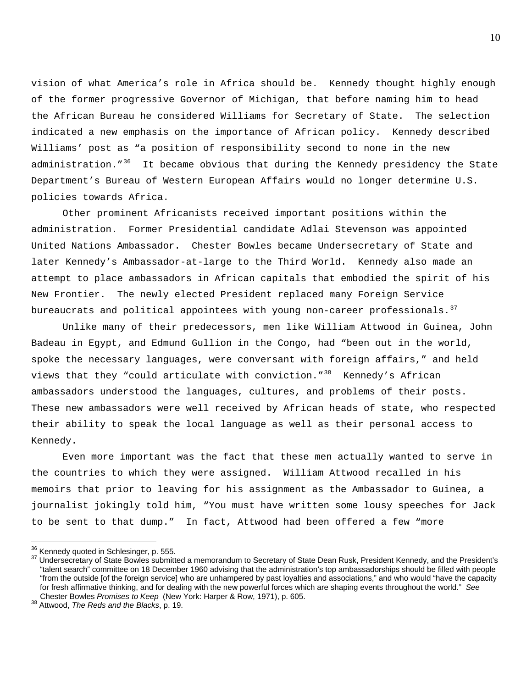vision of what America's role in Africa should be. Kennedy thought highly enough of the former progressive Governor of Michigan, that before naming him to head the African Bureau he considered Williams for Secretary of State. The selection indicated a new emphasis on the importance of African policy. Kennedy described Williams' post as "a position of responsibility second to none in the new administration."<sup>[36](#page-10-0)</sup> It became obvious that during the Kennedy presidency the State Department's Bureau of Western European Affairs would no longer determine U.S. policies towards Africa.

 Other prominent Africanists received important positions within the administration. Former Presidential candidate Adlai Stevenson was appointed United Nations Ambassador. Chester Bowles became Undersecretary of State and later Kennedy's Ambassador-at-large to the Third World. Kennedy also made an attempt to place ambassadors in African capitals that embodied the spirit of his New Frontier. The newly elected President replaced many Foreign Service bureaucrats and political appointees with young non-career professionals.<sup>[37](#page-10-1)</sup>

Unlike many of their predecessors, men like William Attwood in Guinea, John Badeau in Egypt, and Edmund Gullion in the Congo, had "been out in the world, spoke the necessary languages, were conversant with foreign affairs," and held views that they "could articulate with conviction."<sup>[38](#page-10-2)</sup> Kennedy's African ambassadors understood the languages, cultures, and problems of their posts. These new ambassadors were well received by African heads of state, who respected their ability to speak the local language as well as their personal access to Kennedy.

Even more important was the fact that these men actually wanted to serve in the countries to which they were assigned. William Attwood recalled in his memoirs that prior to leaving for his assignment as the Ambassador to Guinea, a journalist jokingly told him, "You must have written some lousy speeches for Jack to be sent to that dump." In fact, Attwood had been offered a few "more

 $\overline{a}$ 

<span id="page-10-1"></span><span id="page-10-0"></span> $36$  Kennedy quoted in Schlesinger, p. 555.<br> $37$  Undersecretary of State Bowles submitted a memorandum to Secretary of State Dean Rusk, President Kennedy, and the President's "talent search" committee on 18 December 1960 advising that the administration's top ambassadorships should be filled with people "from the outside [of the foreign service] who are unhampered by past loyalties and associations," and who would "have the capacity for fresh affirmative thinking, and for dealing with the new powerful forces which are shaping events throughout the world." *See* Chester Bowles *Promises to Keep* (New York: Harper & Row, 1971), p. 605. 38 Attwood, *The Reds and the Blacks*, p. 19.

<span id="page-10-2"></span>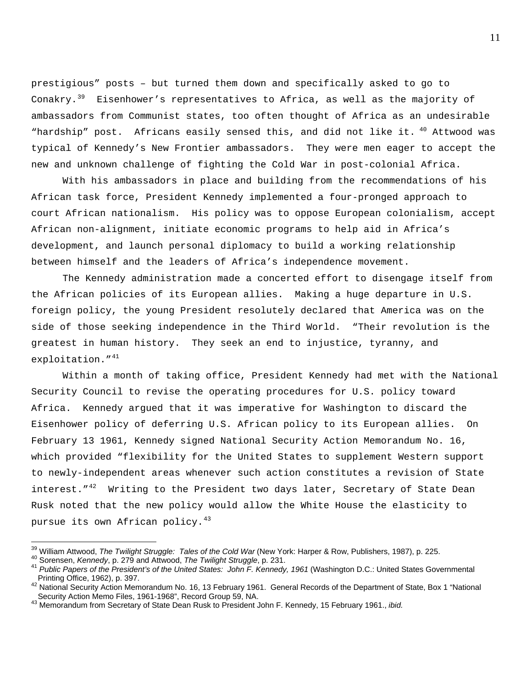prestigious" posts – but turned them down and specifically asked to go to Conakry.<sup>[39](#page-11-0)</sup> Eisenhower's representatives to Africa, as well as the majority of ambassadors from Communist states, too often thought of Africa as an undesirable "hardship" post. Africans easily sensed this, and did not like it.  $^{40}$  $^{40}$  $^{40}$  Attwood was typical of Kennedy's New Frontier ambassadors. They were men eager to accept the new and unknown challenge of fighting the Cold War in post-colonial Africa.

With his ambassadors in place and building from the recommendations of his African task force, President Kennedy implemented a four-pronged approach to court African nationalism. His policy was to oppose European colonialism, accept African non-alignment, initiate economic programs to help aid in Africa's development, and launch personal diplomacy to build a working relationship between himself and the leaders of Africa's independence movement.

The Kennedy administration made a concerted effort to disengage itself from the African policies of its European allies. Making a huge departure in U.S. foreign policy, the young President resolutely declared that America was on the side of those seeking independence in the Third World. "Their revolution is the greatest in human history. They seek an end to injustice, tyranny, and exploitation."<sup>[41](#page-11-2)</sup>

Within a month of taking office, President Kennedy had met with the National Security Council to revise the operating procedures for U.S. policy toward Africa. Kennedy argued that it was imperative for Washington to discard the Eisenhower policy of deferring U.S. African policy to its European allies. On February 13 1961, Kennedy signed National Security Action Memorandum No. 16, which provided "flexibility for the United States to supplement Western support to newly-independent areas whenever such action constitutes a revision of State interest." $42$  Writing to the President two days later, Secretary of State Dean Rusk noted that the new policy would allow the White House the elasticity to pursue its own African policy.<sup>[43](#page-11-4)</sup>

<span id="page-11-2"></span><span id="page-11-1"></span>

<span id="page-11-0"></span><sup>&</sup>lt;sup>39</sup> William Attwood, *The Twilight Struggle: Tales of the Cold War* (New York: Harper & Row, Publishers, 1987), p. 225.<br><sup>40</sup> Sorensen, *Kennedy*, p. 279 and Attwood, *The Twilight Struggle*, p. 231.<br><sup>41</sup> Public Papers of Printing Office, 1962), p. 397.

<span id="page-11-3"></span><sup>42</sup> National Security Action Memorandum No. 16, 13 February 1961. General Records of the Department of State, Box 1 "National Security Action Memo Files, 1961-1968", Record Group 59, NA.

<span id="page-11-4"></span><sup>43</sup> Memorandum from Secretary of State Dean Rusk to President John F. Kennedy, 15 February 1961., *ibid.*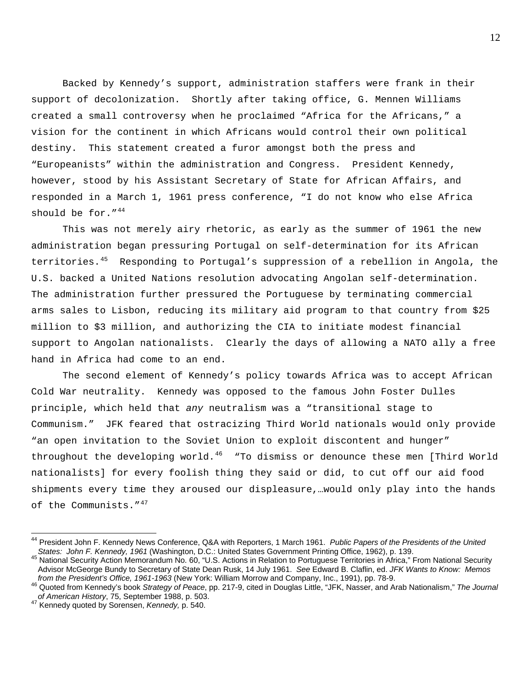Backed by Kennedy's support, administration staffers were frank in their support of decolonization. Shortly after taking office, G. Mennen Williams created a small controversy when he proclaimed "Africa for the Africans," a vision for the continent in which Africans would control their own political destiny. This statement created a furor amongst both the press and "Europeanists" within the administration and Congress. President Kennedy, however, stood by his Assistant Secretary of State for African Affairs, and responded in a March 1, 1961 press conference, "I do not know who else Africa should be for."<sup>[44](#page-12-0)</sup>

This was not merely airy rhetoric, as early as the summer of 1961 the new administration began pressuring Portugal on self-determination for its African territories.<sup>[45](#page-12-1)</sup> Responding to Portugal's suppression of a rebellion in Angola, the U.S. backed a United Nations resolution advocating Angolan self-determination. The administration further pressured the Portuguese by terminating commercial arms sales to Lisbon, reducing its military aid program to that country from \$25 million to \$3 million, and authorizing the CIA to initiate modest financial support to Angolan nationalists. Clearly the days of allowing a NATO ally a free hand in Africa had come to an end.

The second element of Kennedy's policy towards Africa was to accept African Cold War neutrality. Kennedy was opposed to the famous John Foster Dulles principle, which held that *any* neutralism was a "transitional stage to Communism." JFK feared that ostracizing Third World nationals would only provide "an open invitation to the Soviet Union to exploit discontent and hunger" throughout the developing world.<sup>[46](#page-12-2)</sup> "To dismiss or denounce these men [Third World nationalists] for every foolish thing they said or did, to cut off our aid food shipments every time they aroused our displeasure,…would only play into the hands of the Communists."<sup>[47](#page-12-3)</sup>

<span id="page-12-0"></span><sup>44</sup> President John F. Kennedy News Conference, Q&A with Reporters, 1 March 1961. *Public Papers of the Presidents of the United* 

<span id="page-12-1"></span><sup>45</sup> National Security Action Memorandum No. 60, "U.S. Actions in Relation to Portuguese Territories in Africa," From National Security Advisor McGeorge Bundy to Secretary of State Dean Rusk, 14 July 1961. *See* Edward B. Claflin, ed. *JFK Wants to Know: Memos* 

<span id="page-12-2"></span>Quoted from Kennedy's book Strategy of Peace, pp. 217-9, cited in Douglas Little, "JFK, Nasser, and Arab Nationalism," The Journal of American History, 75, September 1988, p. 503.

<span id="page-12-3"></span>*a*<sup>47</sup> Kennedy quoted by Sorensen, *Kennedy*, p. 540.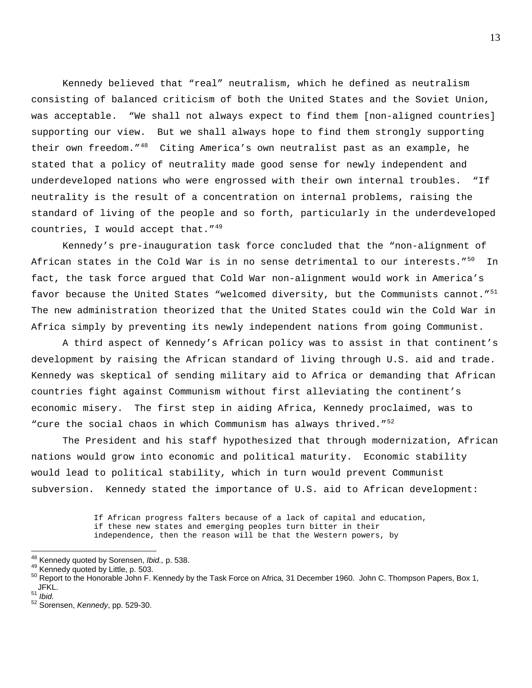Kennedy believed that "real" neutralism, which he defined as neutralism consisting of balanced criticism of both the United States and the Soviet Union, was acceptable. "We shall not always expect to find them [non-aligned countries] supporting our view. But we shall always hope to find them strongly supporting their own freedom."<sup>[48](#page-13-0)</sup> Citing America's own neutralist past as an example, he stated that a policy of neutrality made good sense for newly independent and underdeveloped nations who were engrossed with their own internal troubles. "If neutrality is the result of a concentration on internal problems, raising the standard of living of the people and so forth, particularly in the underdeveloped countries, I would accept that.  $149$  $149$ 

Kennedy's pre-inauguration task force concluded that the "non-alignment of African states in the Cold War is in no sense detrimental to our interests."<sup>[50](#page-13-2)</sup> In fact, the task force argued that Cold War non-alignment would work in America's favor because the United States "welcomed diversity, but the Communists cannot."<sup>[51](#page-13-3)</sup> The new administration theorized that the United States could win the Cold War in Africa simply by preventing its newly independent nations from going Communist.

A third aspect of Kennedy's African policy was to assist in that continent's development by raising the African standard of living through U.S. aid and trade. Kennedy was skeptical of sending military aid to Africa or demanding that African countries fight against Communism without first alleviating the continent's economic misery. The first step in aiding Africa, Kennedy proclaimed, was to "cure the social chaos in which Communism has always thrived."<sup>[52](#page-13-4)</sup>

The President and his staff hypothesized that through modernization, African nations would grow into economic and political maturity. Economic stability would lead to political stability, which in turn would prevent Communist subversion. Kennedy stated the importance of U.S. aid to African development:

> If African progress falters because of a lack of capital and education, if these new states and emerging peoples turn bitter in their independence, then the reason will be that the Western powers, by

<span id="page-13-0"></span><sup>&</sup>lt;sup>48</sup> Kennedv quoted by Sorensen, Ibid., p. 538.

<span id="page-13-2"></span><span id="page-13-1"></span><sup>49</sup> Kennedy quoted by Little, p. 503.<br><sup>49</sup> Kennedy quoted by Little, p. 503.<br><sup>50</sup> Report to the Honorable John F. Kennedy by the Task Force on Africa, 31 December 1960. John C. Thompson Papers, Box 1,  $JFKL.$ <br>51 *Ibid.* 

<span id="page-13-3"></span>

<span id="page-13-4"></span><sup>51</sup> *Ibid.* 52 Sorensen, *Kennedy*, pp. 529-30.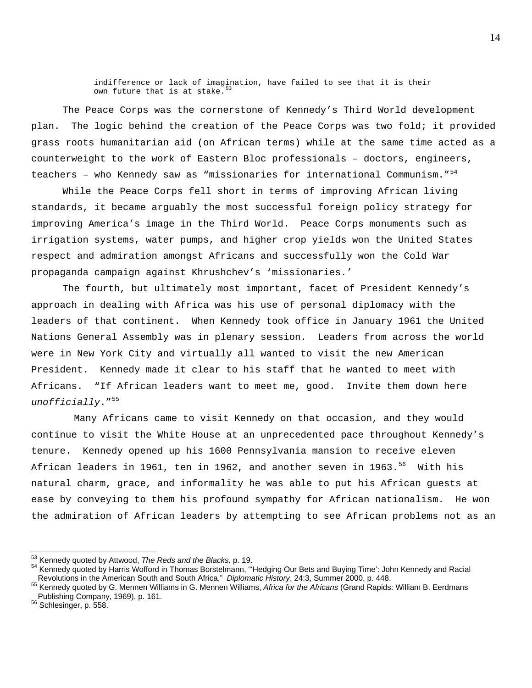indifference or lack of imagination, have failed to see that it is their own future that is at stake.  $53$ 

The Peace Corps was the cornerstone of Kennedy's Third World development plan. The logic behind the creation of the Peace Corps was two fold; it provided grass roots humanitarian aid (on African terms) while at the same time acted as a counterweight to the work of Eastern Bloc professionals – doctors, engineers, teachers - who Kennedy saw as "missionaries for international Communism."<sup>[54](#page-14-1)</sup>

 While the Peace Corps fell short in terms of improving African living standards, it became arguably the most successful foreign policy strategy for improving America's image in the Third World. Peace Corps monuments such as irrigation systems, water pumps, and higher crop yields won the United States respect and admiration amongst Africans and successfully won the Cold War propaganda campaign against Khrushchev's 'missionaries.'

 The fourth, but ultimately most important, facet of President Kennedy's approach in dealing with Africa was his use of personal diplomacy with the leaders of that continent. When Kennedy took office in January 1961 the United Nations General Assembly was in plenary session. Leaders from across the world were in New York City and virtually all wanted to visit the new American President. Kennedy made it clear to his staff that he wanted to meet with Africans. "If African leaders want to meet me, good. Invite them down here *unofficially*."[55](#page-14-2)

 Many Africans came to visit Kennedy on that occasion, and they would continue to visit the White House at an unprecedented pace throughout Kennedy's tenure. Kennedy opened up his 1600 Pennsylvania mansion to receive eleven African leaders in 1961, ten in 1962, and another seven in 1963.<sup>[56](#page-14-3)</sup> With his natural charm, grace, and informality he was able to put his African guests at ease by conveying to them his profound sympathy for African nationalism. He won the admiration of African leaders by attempting to see African problems not as an

<span id="page-14-0"></span><sup>53</sup> Kennedy quoted by Attwood, The Reds and the Blacks, p. 19.

<span id="page-14-1"></span><sup>54</sup> Kennedy quoted by Harris Wofford in Thomas Borstelmann, "Hedging Our Bets and Buying Time': John Kennedy and Racial<br>Revolutions in the American South and South Africa," *Diplomatic History*, 24:3, Summer 2000, p. 448.

<span id="page-14-2"></span><sup>&</sup>lt;sup>55</sup> Kennedy quoted by G. Mennen Williams in G. Mennen Williams, Africa for the Africans (Grand Rapids: William B. Eerdmans Publishing Company, 1969), p. 161.

<span id="page-14-3"></span><sup>56</sup> Schlesinger, p. 558.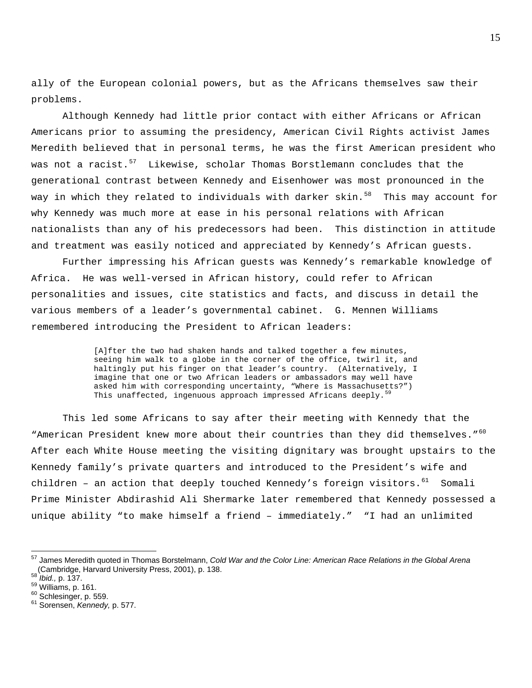ally of the European colonial powers, but as the Africans themselves saw their problems.

Although Kennedy had little prior contact with either Africans or African Americans prior to assuming the presidency, American Civil Rights activist James Meredith believed that in personal terms, he was the first American president who was not a racist.<sup>[57](#page-15-0)</sup> Likewise, scholar Thomas Borstlemann concludes that the generational contrast between Kennedy and Eisenhower was most pronounced in the way in which they related to individuals with darker skin.<sup>[58](#page-15-1)</sup> This may account for why Kennedy was much more at ease in his personal relations with African nationalists than any of his predecessors had been. This distinction in attitude and treatment was easily noticed and appreciated by Kennedy's African guests.

Further impressing his African guests was Kennedy's remarkable knowledge of Africa. He was well-versed in African history, could refer to African personalities and issues, cite statistics and facts, and discuss in detail the various members of a leader's governmental cabinet. G. Mennen Williams remembered introducing the President to African leaders:

> [A]fter the two had shaken hands and talked together a few minutes, seeing him walk to a globe in the corner of the office, twirl it, and haltingly put his finger on that leader's country. (Alternatively, I imagine that one or two African leaders or ambassadors may well have asked him with corresponding uncertainty, "Where is Massachusetts?") This unaffected, ingenuous approach impressed Africans deeply.

This led some Africans to say after their meeting with Kennedy that the "American President knew more about their countries than they did themselves."<sup>[60](#page-15-3)</sup> After each White House meeting the visiting dignitary was brought upstairs to the Kennedy family's private quarters and introduced to the President's wife and children – an action that deeply touched Kennedy's foreign visitors.  $61$  Somali Prime Minister Abdirashid Ali Shermarke later remembered that Kennedy possessed a unique ability "to make himself a friend – immediately." "I had an unlimited

<span id="page-15-0"></span><sup>57</sup> James Meredith quoted in Thomas Borstelmann, *Cold War and the Color Line: American Race Relations in the Global Arena* (Cambridge, Harvard University Press, 2001), p. 138. 58 *Ibid.,* p. 137. 59 Williams, p. 161. 60 Schlesinger, p. 559. 61 Sorensen, *Kennedy,* p. 577.

<span id="page-15-1"></span>

<span id="page-15-2"></span>

<span id="page-15-3"></span>

<span id="page-15-4"></span>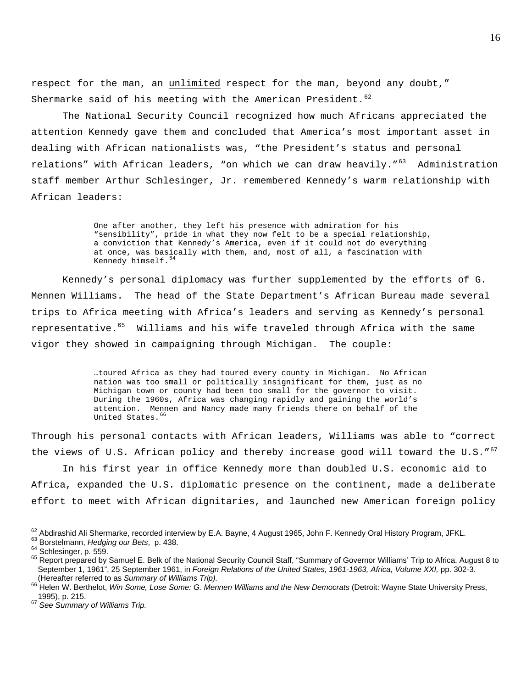respect for the man, an unlimited respect for the man, beyond any doubt," Shermarke said of his meeting with the American President.  $62$ 

The National Security Council recognized how much Africans appreciated the attention Kennedy gave them and concluded that America's most important asset in dealing with African nationalists was, "the President's status and personal relations" with African leaders, "on which we can draw heavily."<sup>[63](#page-16-1)</sup> Administration staff member Arthur Schlesinger, Jr. remembered Kennedy's warm relationship with African leaders:

> One after another, they left his presence with admiration for his "sensibility", pride in what they now felt to be a special relationship, a conviction that Kennedy's America, even if it could not do everything at once, was basically with them, and, most of all, a fascination with Kennedy himself.<sup>[64](#page-16-2)</sup>

Kennedy's personal diplomacy was further supplemented by the efforts of G. Mennen Williams. The head of the State Department's African Bureau made several trips to Africa meeting with Africa's leaders and serving as Kennedy's personal representative.<sup>[65](#page-16-3)</sup> Williams and his wife traveled through Africa with the same vigor they showed in campaigning through Michigan. The couple:

> …toured Africa as they had toured every county in Michigan. No African nation was too small or politically insignificant for them, just as no Michigan town or county had been too small for the governor to visit. During the 1960s, Africa was changing rapidly and gaining the world's attention. Mennen and Nancy made many friends there on behalf of the United States.<sup>[66](#page-16-4)</sup>

Through his personal contacts with African leaders, Williams was able to "correct the views of U.S. African policy and thereby increase good will toward the U.S." $67$ 

In his first year in office Kennedy more than doubled U.S. economic aid to Africa, expanded the U.S. diplomatic presence on the continent, made a deliberate effort to meet with African dignitaries, and launched new American foreign policy

<span id="page-16-1"></span>

<span id="page-16-3"></span><span id="page-16-2"></span>

<span id="page-16-0"></span><sup>&</sup>lt;sup>62</sup> Abdirashid Ali Shermarke, recorded interview by E.A. Bayne, 4 August 1965, John F. Kennedy Oral History Program, JFKL.<br><sup>63</sup> Borstelmann, *Hedging our Bets*, p. 438.<br><sup>64</sup> Schlesinger, p. 559.<br><sup>65</sup> Report prepared by S September 1, 1961", 25 September 1961, in *Foreign Relations of the United States, 1961-1963, Africa, Volume XXI, pp.* 302-3.<br>(Hereafter referred to as Summary of Williams Trip).

<span id="page-16-4"></span><sup>&</sup>lt;sup>66</sup> Helen W. Berthelot, *Win Some, Lose Some: G. Mennen Williams and the New Democrats* (Detroit: Wayne State University Press, 1995), p. 215.

<span id="page-16-5"></span><sup>67</sup> *See Summary of Williams Trip.*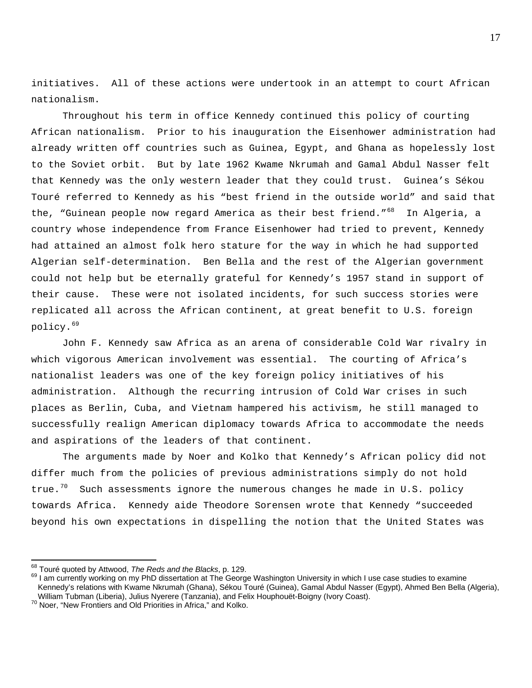initiatives. All of these actions were undertook in an attempt to court African nationalism.

 Throughout his term in office Kennedy continued this policy of courting African nationalism. Prior to his inauguration the Eisenhower administration had already written off countries such as Guinea, Egypt, and Ghana as hopelessly lost to the Soviet orbit. But by late 1962 Kwame Nkrumah and Gamal Abdul Nasser felt that Kennedy was the only western leader that they could trust. Guinea's Sékou Touré referred to Kennedy as his "best friend in the outside world" and said that the, "Guinean people now regard America as their best friend."<sup>[68](#page-17-0)</sup> In Alqeria, a country whose independence from France Eisenhower had tried to prevent, Kennedy had attained an almost folk hero stature for the way in which he had supported Algerian self-determination. Ben Bella and the rest of the Algerian government could not help but be eternally grateful for Kennedy's 1957 stand in support of their cause. These were not isolated incidents, for such success stories were replicated all across the African continent, at great benefit to U.S. foreign policy.[69](#page-17-1)

John F. Kennedy saw Africa as an arena of considerable Cold War rivalry in which vigorous American involvement was essential. The courting of Africa's nationalist leaders was one of the key foreign policy initiatives of his administration. Although the recurring intrusion of Cold War crises in such places as Berlin, Cuba, and Vietnam hampered his activism, he still managed to successfully realign American diplomacy towards Africa to accommodate the needs and aspirations of the leaders of that continent.

The arguments made by Noer and Kolko that Kennedy's African policy did not differ much from the policies of previous administrations simply do not hold true.<sup>[70](#page-17-2)</sup> Such assessments ignore the numerous changes he made in U.S. policy towards Africa. Kennedy aide Theodore Sorensen wrote that Kennedy "succeeded beyond his own expectations in dispelling the notion that the United States was

<span id="page-17-0"></span><sup>68</sup> Touré quoted by Attwood, The Reds and the Blacks, p. 129.

<span id="page-17-1"></span><sup>&</sup>lt;sup>69</sup> I am currently working on my PhD dissertation at The George Washington University in which I use case studies to examine Kennedy's relations with Kwame Nkrumah (Ghana), Sékou Touré (Guinea), Gamal Abdul Nasser (Egypt), Ahmed Ben Bella (Algeria), William Tubman (Liberia), Julius Nyerere (Tanzania), and Felix Houphouët-Boigny (Ivory Coast).<br><sup>70</sup> Noer, "New Frontiers and Old Priorities in Africa," and Kolko.

<span id="page-17-2"></span>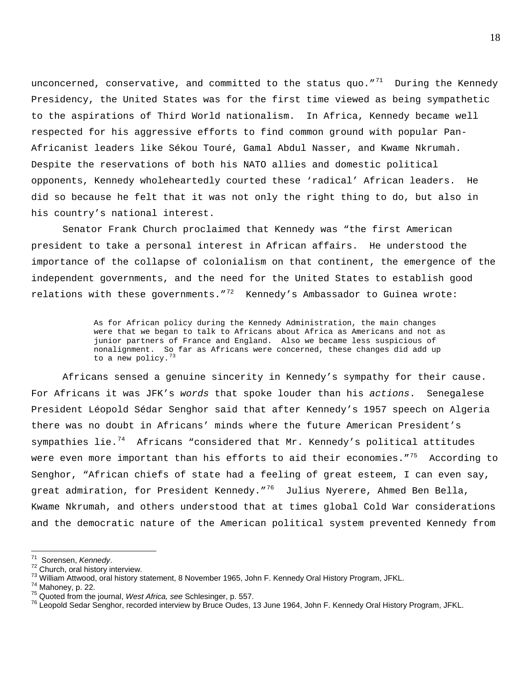unconcerned, conservative, and committed to the status quo."<sup>[71](#page-18-0)</sup> During the Kennedy Presidency, the United States was for the first time viewed as being sympathetic to the aspirations of Third World nationalism. In Africa, Kennedy became well respected for his aggressive efforts to find common ground with popular Pan-Africanist leaders like Sékou Touré, Gamal Abdul Nasser, and Kwame Nkrumah. Despite the reservations of both his NATO allies and domestic political opponents, Kennedy wholeheartedly courted these 'radical' African leaders. He did so because he felt that it was not only the right thing to do, but also in his country's national interest.

Senator Frank Church proclaimed that Kennedy was "the first American president to take a personal interest in African affairs. He understood the importance of the collapse of colonialism on that continent, the emergence of the independent governments, and the need for the United States to establish good relations with these governments." $^{72}$  $^{72}$  $^{72}$  Kennedy's Ambassador to Guinea wrote:

> As for African policy during the Kennedy Administration, the main changes were that we began to talk to Africans about Africa as Americans and not as junior partners of France and England. Also we became less suspicious of nonalignment. So far as Africans were concerned, these changes did add up to a new policy.  $73$

Africans sensed a genuine sincerity in Kennedy's sympathy for their cause. For Africans it was JFK's *words* that spoke louder than his *actions*. Senegalese President Léopold Sédar Senghor said that after Kennedy's 1957 speech on Algeria there was no doubt in Africans' minds where the future American President's sympathies lie.<sup>[74](#page-18-3)</sup> Africans "considered that Mr. Kennedy's political attitudes were even more important than his efforts to aid their economies."<sup>[75](#page-18-4)</sup> According to Senghor, "African chiefs of state had a feeling of great esteem, I can even say, great admiration, for President Kennedy."<sup>[76](#page-18-5)</sup> Julius Nyerere, Ahmed Ben Bella, Kwame Nkrumah, and others understood that at times global Cold War considerations and the democratic nature of the American political system prevented Kennedy from

<span id="page-18-0"></span><sup>71</sup> Sorensen, Kennedy.

<span id="page-18-2"></span>

<span id="page-18-3"></span>

<span id="page-18-5"></span><span id="page-18-4"></span>

<span id="page-18-1"></span><sup>&</sup>lt;sup>72</sup> Church, oral history interview.<br><sup>73</sup> William Attwood, oral history statement, 8 November 1965, John F. Kennedy Oral History Program, JFKL.<br><sup>74</sup> Mahoney, p. 22.<br><sup>75</sup> Quoted from the journal, *West Africa, see* Schlesi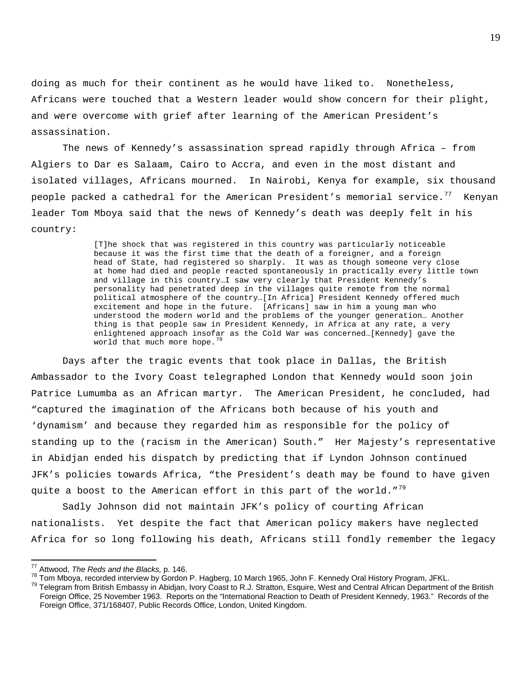doing as much for their continent as he would have liked to. Nonetheless, Africans were touched that a Western leader would show concern for their plight, and were overcome with grief after learning of the American President's assassination.

The news of Kennedy's assassination spread rapidly through Africa – from Algiers to Dar es Salaam, Cairo to Accra, and even in the most distant and isolated villages, Africans mourned. In Nairobi, Kenya for example, six thousand people packed a cathedral for the American President's memorial service. $^{77}$  $^{77}$  $^{77}$  Kenyan leader Tom Mboya said that the news of Kennedy's death was deeply felt in his country:

> [T]he shock that was registered in this country was particularly noticeable because it was the first time that the death of a foreigner, and a foreign head of State, had registered so sharply. It was as though someone very close at home had died and people reacted spontaneously in practically every little town and village in this country…I saw very clearly that President Kennedy's personality had penetrated deep in the villages quite remote from the normal political atmosphere of the country…[In Africa] President Kennedy offered much excitement and hope in the future. [Africans] saw in him a young man who understood the modern world and the problems of the younger generation… Another thing is that people saw in President Kennedy, in Africa at any rate, a very enlightened approach insofar as the Cold War was concerned…[Kennedy] gave the world that much more hope.<sup>[78](#page-19-1)</sup>

Days after the tragic events that took place in Dallas, the British Ambassador to the Ivory Coast telegraphed London that Kennedy would soon join Patrice Lumumba as an African martyr. The American President, he concluded, had "captured the imagination of the Africans both because of his youth and 'dynamism' and because they regarded him as responsible for the policy of standing up to the (racism in the American) South." Her Majesty's representative in Abidjan ended his dispatch by predicting that if Lyndon Johnson continued JFK's policies towards Africa, "the President's death may be found to have given quite a boost to the American effort in this part of the world."<sup>[79](#page-19-2)</sup>

Sadly Johnson did not maintain JFK's policy of courting African nationalists. Yet despite the fact that American policy makers have neglected Africa for so long following his death, Africans still fondly remember the legacy

<span id="page-19-0"></span><sup>&</sup>lt;sup>77</sup> Attwood, The Reds and the Blacks, p. 146.

<span id="page-19-2"></span><span id="page-19-1"></span><sup>&</sup>lt;sup>78</sup> Tom Mboya, recorded interview by Gordon P. Hagberg, 10 March 1965, John F. Kennedy Oral History Program, JFKL.<br><sup>79</sup> Telegram from British Embassy in Abidjan, Ivory Coast to R.J. Stratton, Esquire, West and Central Afr Foreign Office, 25 November 1963. Reports on the "International Reaction to Death of President Kennedy, 1963." Records of the Foreign Office, 371/168407, Public Records Office, London, United Kingdom.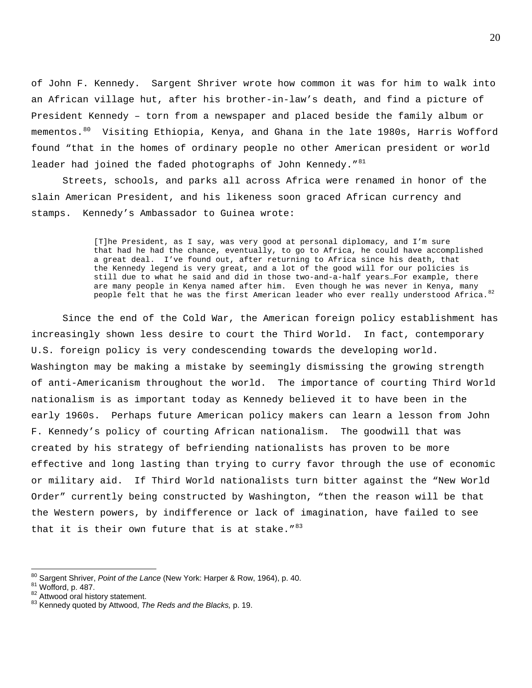of John F. Kennedy. Sargent Shriver wrote how common it was for him to walk into an African village hut, after his brother-in-law's death, and find a picture of President Kennedy – torn from a newspaper and placed beside the family album or mementos.<sup>[80](#page-20-0)</sup> Visiting Ethiopia, Kenya, and Ghana in the late 1980s, Harris Wofford found "that in the homes of ordinary people no other American president or world leader had joined the faded photographs of John Kennedy."<sup>[81](#page-20-1)</sup>

Streets, schools, and parks all across Africa were renamed in honor of the slain American President, and his likeness soon graced African currency and stamps. Kennedy's Ambassador to Guinea wrote:

> [T]he President, as I say, was very good at personal diplomacy, and I'm sure that had he had the chance, eventually, to go to Africa, he could have accomplished a great deal. I've found out, after returning to Africa since his death, that the Kennedy legend is very great, and a lot of the good will for our policies is still due to what he said and did in those two-and-a-half years…For example, there are many people in Kenya named after him. Even though he was never in Kenya, many people felt that he was the first American leader who ever really understood Africa. $82$

Since the end of the Cold War, the American foreign policy establishment has increasingly shown less desire to court the Third World. In fact, contemporary U.S. foreign policy is very condescending towards the developing world. Washington may be making a mistake by seemingly dismissing the growing strength of anti-Americanism throughout the world. The importance of courting Third World nationalism is as important today as Kennedy believed it to have been in the early 1960s. Perhaps future American policy makers can learn a lesson from John F. Kennedy's policy of courting African nationalism. The goodwill that was created by his strategy of befriending nationalists has proven to be more effective and long lasting than trying to curry favor through the use of economic or military aid. If Third World nationalists turn bitter against the "New World Order" currently being constructed by Washington, "then the reason will be that the Western powers, by indifference or lack of imagination, have failed to see that it is their own future that is at stake.  $183$  $183$ 

 $\overline{a}$ 

<span id="page-20-0"></span><sup>&</sup>lt;sup>80</sup> Sargent Shriver, *Point of the Lance* (New York: Harper & Row, 1964), p. 40.<br><sup>81</sup> Wofford, p. 487.<br><sup>82</sup> Attwood oral history statement. 83 Kennedy quoted by Attwood, *The Reds and the Blacks,* p. 19.

<span id="page-20-1"></span>

<span id="page-20-2"></span>

<span id="page-20-3"></span>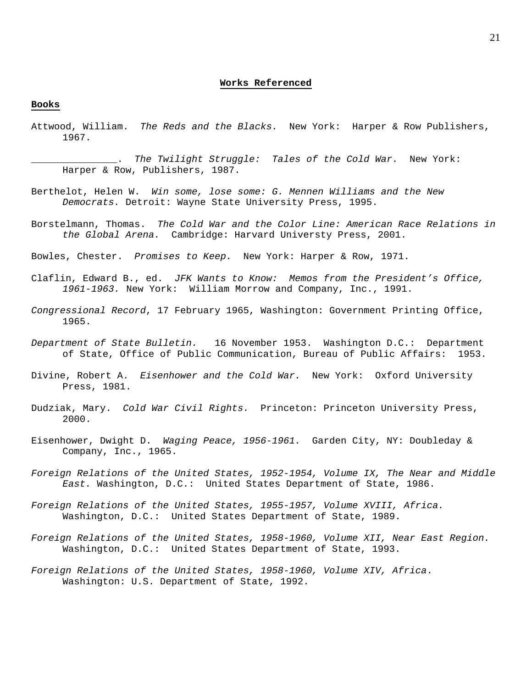#### **Books**

Attwood, William. *The Reds and the Blacks.* New York: Harper & Row Publishers, 1967.

\_\_\_\_\_\_\_\_\_\_\_\_\_\_\_. *The Twilight Struggle: Tales of the Cold War.* New York: Harper & Row, Publishers, 1987.

- Berthelot, Helen W. *Win some, lose some: G. Mennen Williams and the New Democrats.* Detroit: Wayne State University Press, 1995.
- Borstelmann, Thomas. *The Cold War and the Color Line: American Race Relations in the Global Arena.* Cambridge: Harvard Universty Press, 2001.
- Bowles, Chester. *Promises to Keep.* New York: Harper & Row, 1971.
- Claflin, Edward B., ed. *JFK Wants to Know: Memos from the President's Office, 1961-1963.* New York: William Morrow and Company, Inc., 1991.
- *Congressional Record*, 17 February 1965, Washington: Government Printing Office, 1965.
- *Department of State Bulletin.* 16 November 1953. Washington D.C.: Department of State, Office of Public Communication, Bureau of Public Affairs: 1953.
- Divine, Robert A. *Eisenhower and the Cold War.* New York: Oxford University Press, 1981.
- Dudziak, Mary. *Cold War Civil Rights.* Princeton: Princeton University Press, 2000.
- Eisenhower, Dwight D. *Waging Peace, 1956-1961.* Garden City, NY: Doubleday & Company, Inc., 1965.
- *Foreign Relations of the United States, 1952-1954, Volume IX, The Near and Middle East.* Washington, D.C.: United States Department of State, 1986.
- *Foreign Relations of the United States, 1955-1957, Volume XVIII, Africa.* Washington, D.C.: United States Department of State, 1989.
- *Foreign Relations of the United States, 1958-1960, Volume XII, Near East Region.* Washington, D.C.: United States Department of State, 1993.
- *Foreign Relations of the United States, 1958-1960, Volume XIV, Africa*. Washington: U.S. Department of State, 1992.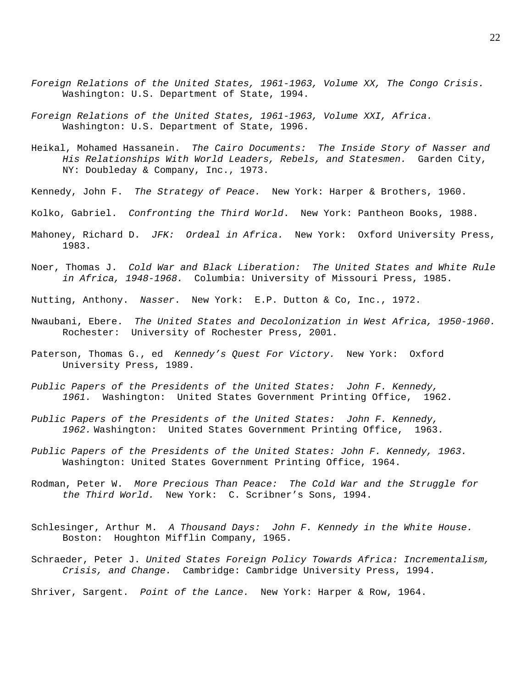- *Foreign Relations of the United States, 1961-1963, Volume XX, The Congo Crisis.*  Washington: U.S. Department of State, 1994.
- *Foreign Relations of the United States, 1961-1963, Volume XXI, Africa.*  Washington: U.S. Department of State, 1996.
- Heikal, Mohamed Hassanein. *The Cairo Documents: The Inside Story of Nasser and His Relationships With World Leaders, Rebels, and Statesmen.* Garden City, NY: Doubleday & Company, Inc., 1973.
- Kennedy, John F. *The Strategy of Peace.* New York: Harper & Brothers, 1960.
- Kolko, Gabriel. *Confronting the Third World*. New York: Pantheon Books, 1988.
- Mahoney, Richard D. *JFK: Ordeal in Africa.* New York: Oxford University Press, 1983.
- Noer, Thomas J. *Cold War and Black Liberation: The United States and White Rule in Africa, 1948-1968.* Columbia: University of Missouri Press, 1985.
- Nutting, Anthony. *Nasser*. New York: E.P. Dutton & Co, Inc., 1972.
- Nwaubani, Ebere. *The United States and Decolonization in West Africa, 1950-1960.*  Rochester: University of Rochester Press, 2001.
- Paterson, Thomas G., ed *Kennedy's Quest For Victory.* New York: Oxford University Press, 1989.
- *Public Papers of the Presidents of the United States: John F. Kennedy, 1961.* Washington: United States Government Printing Office, 1962.
- *Public Papers of the Presidents of the United States: John F. Kennedy, 1962.* Washington: United States Government Printing Office, 1963.
- *Public Papers of the Presidents of the United States: John F. Kennedy, 1963.*  Washington: United States Government Printing Office, 1964.
- Rodman, Peter W. *More Precious Than Peace: The Cold War and the Struggle for the Third World.* New York: C. Scribner's Sons, 1994.
- Schlesinger, Arthur M. *A Thousand Days: John F. Kennedy in the White House.* Boston: Houghton Mifflin Company, 1965.
- Schraeder, Peter J. *United States Foreign Policy Towards Africa: Incrementalism, Crisis, and Change.* Cambridge: Cambridge University Press, 1994.

Shriver, Sargent. *Point of the Lance.* New York: Harper & Row, 1964.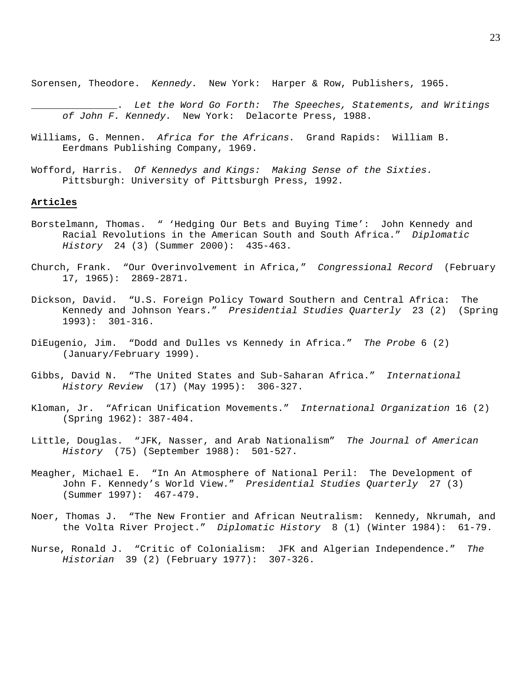Sorensen, Theodore. *Kennedy.* New York: Harper & Row, Publishers, 1965.

\_\_\_\_\_\_\_\_\_\_\_\_\_\_\_. *Let the Word Go Forth: The Speeches, Statements, and Writings of John F. Kennedy.* New York: Delacorte Press, 1988.

- Williams, G. Mennen. *Africa for the Africans.* Grand Rapids: William B. Eerdmans Publishing Company, 1969.
- Wofford, Harris. *Of Kennedys and Kings: Making Sense of the Sixties.*  Pittsburgh: University of Pittsburgh Press, 1992.

#### **Articles**

- Borstelmann, Thomas. " 'Hedging Our Bets and Buying Time': John Kennedy and Racial Revolutions in the American South and South Africa." *Diplomatic History* 24 (3) (Summer 2000): 435-463.
- Church, Frank. "Our Overinvolvement in Africa," *Congressional Record* (February 17, 1965): 2869-2871.
- Dickson, David. "U.S. Foreign Policy Toward Southern and Central Africa: The Kennedy and Johnson Years." *Presidential Studies Quarterly* 23 (2) (Spring 1993): 301-316.
- DiEugenio, Jim. "Dodd and Dulles vs Kennedy in Africa." *The Probe* 6 (2) (January/February 1999).
- Gibbs, David N. "The United States and Sub-Saharan Africa." *International History Review* (17) (May 1995): 306-327.
- Kloman, Jr. "African Unification Movements." *International Organization* 16 (2) (Spring 1962): 387-404.
- Little, Douglas. "JFK, Nasser, and Arab Nationalism" *The Journal of American History* (75) (September 1988): 501-527.
- Meagher, Michael E. "In An Atmosphere of National Peril: The Development of John F. Kennedy's World View." *Presidential Studies Quarterly* 27 (3) (Summer 1997): 467-479.
- Noer, Thomas J. "The New Frontier and African Neutralism: Kennedy, Nkrumah, and the Volta River Project." *Diplomatic History* 8 (1) (Winter 1984): 61-79.
- Nurse, Ronald J. "Critic of Colonialism: JFK and Algerian Independence." *The Historian* 39 (2) (February 1977): 307-326.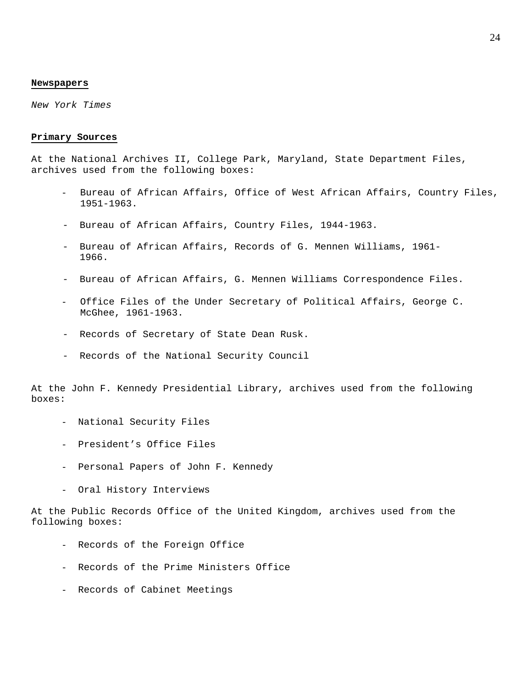## **Newspapers**

*New York Times*

#### **Primary Sources**

At the National Archives II, College Park, Maryland, State Department Files, archives used from the following boxes:

- Bureau of African Affairs, Office of West African Affairs, Country Files, 1951-1963.
- Bureau of African Affairs, Country Files, 1944-1963.
- Bureau of African Affairs, Records of G. Mennen Williams, 1961- 1966.
- Bureau of African Affairs, G. Mennen Williams Correspondence Files.
- Office Files of the Under Secretary of Political Affairs, George C. McGhee, 1961-1963.
- Records of Secretary of State Dean Rusk.
- Records of the National Security Council

At the John F. Kennedy Presidential Library, archives used from the following boxes:

- National Security Files
- President's Office Files
- Personal Papers of John F. Kennedy
- Oral History Interviews

At the Public Records Office of the United Kingdom, archives used from the following boxes:

- Records of the Foreign Office
- Records of the Prime Ministers Office
- Records of Cabinet Meetings